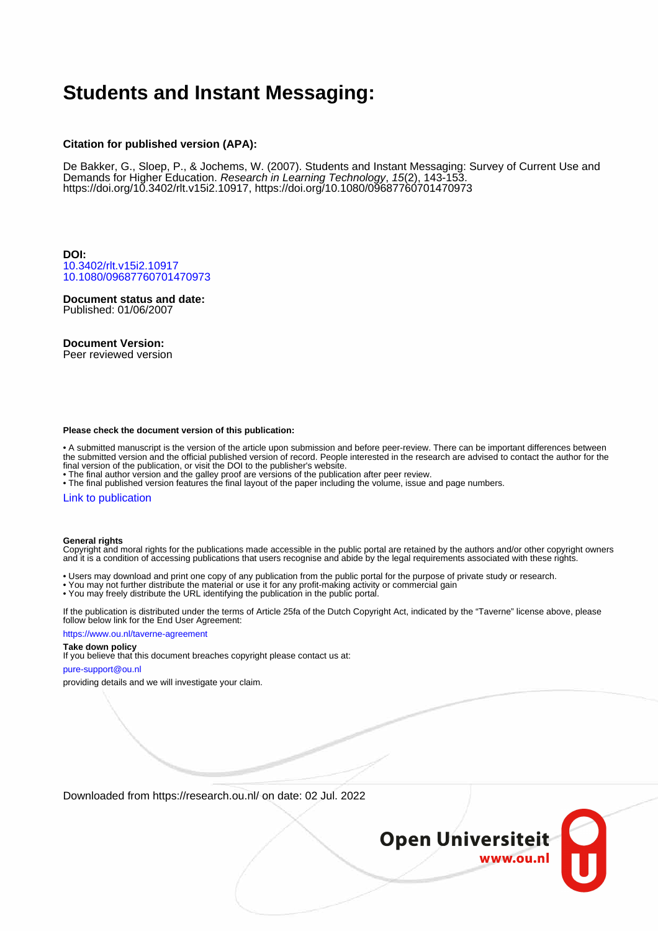# **Students and Instant Messaging:**

#### **Citation for published version (APA):**

De Bakker, G., Sloep, P., & Jochems, W. (2007). Students and Instant Messaging: Survey of Current Use and Demands for Higher Education. Research in Learning Technology, 15(2), 143-153. [https://doi.org/10.3402/rlt.v15i2.10917,](https://doi.org/10.3402/rlt.v15i2.10917)<https://doi.org/10.1080/09687760701470973>

**DOI:** [10.3402/rlt.v15i2.10917](https://doi.org/10.3402/rlt.v15i2.10917) [10.1080/09687760701470973](https://doi.org/10.1080/09687760701470973)

**Document status and date:** Published: 01/06/2007

#### **Document Version:**

Peer reviewed version

#### **Please check the document version of this publication:**

• A submitted manuscript is the version of the article upon submission and before peer-review. There can be important differences between the submitted version and the official published version of record. People interested in the research are advised to contact the author for the final version of the publication, or visit the DOI to the publisher's website.

• The final author version and the galley proof are versions of the publication after peer review.

• The final published version features the final layout of the paper including the volume, issue and page numbers.

#### [Link to publication](https://research.ou.nl/en/publications/8c37f975-44f4-4437-a9aa-a64fe584ad19)

#### **General rights**

Copyright and moral rights for the publications made accessible in the public portal are retained by the authors and/or other copyright owners and it is a condition of accessing publications that users recognise and abide by the legal requirements associated with these rights.

- Users may download and print one copy of any publication from the public portal for the purpose of private study or research.
- You may not further distribute the material or use it for any profit-making activity or commercial gain
- You may freely distribute the URL identifying the publication in the public portal.

If the publication is distributed under the terms of Article 25fa of the Dutch Copyright Act, indicated by the "Taverne" license above, please follow below link for the End User Agreement:

#### https://www.ou.nl/taverne-agreement

#### **Take down policy**

If you believe that this document breaches copyright please contact us at:

#### pure-support@ou.nl

providing details and we will investigate your claim.

Downloaded from https://research.ou.nl/ on date: 02 Jul. 2022

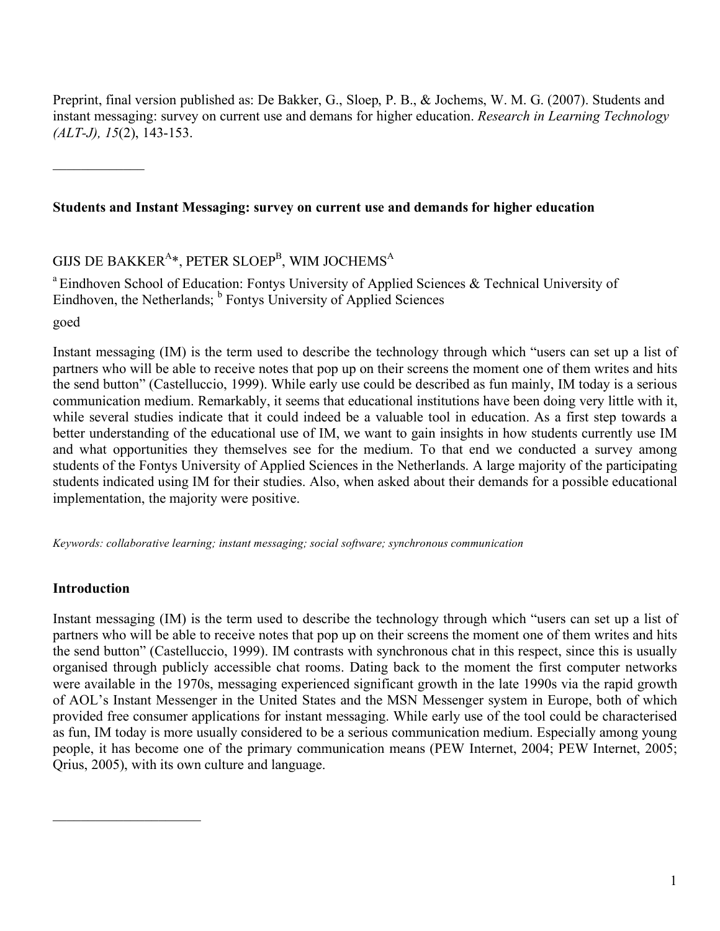Preprint, final version published as: De Bakker, G., Sloep, P. B., & Jochems, W. M. G. (2007). Students and instant messaging: survey on current use and demans for higher education. *Research in Learning Technology (ALT-J), 15*(2), 143-153.

 $\mathcal{L}_\text{max}$ 

# **Students and Instant Messaging: survey on current use and demands for higher education**

# GIJS DE BAKKER $^{A_{\rm \ast}},$  PETER SLOEP $^{\rm B}$ , WIM JOCHEMS $^{\rm A}$

<sup>a</sup> Eindhoven School of Education: Fontys University of Applied Sciences & Technical University of Eindhoven, the Netherlands; <sup>b</sup> Fontys University of Applied Sciences

goed

Instant messaging (IM) is the term used to describe the technology through which "users can set up a list of partners who will be able to receive notes that pop up on their screens the moment one of them writes and hits the send button" (Castelluccio, 1999). While early use could be described as fun mainly, IM today is a serious communication medium. Remarkably, it seems that educational institutions have been doing very little with it, while several studies indicate that it could indeed be a valuable tool in education. As a first step towards a better understanding of the educational use of IM, we want to gain insights in how students currently use IM and what opportunities they themselves see for the medium. To that end we conducted a survey among students of the Fontys University of Applied Sciences in the Netherlands. A large majority of the participating students indicated using IM for their studies. Also, when asked about their demands for a possible educational implementation, the majority were positive.

*Keywords: collaborative learning; instant messaging; social software; synchronous communication*

## **Introduction**

 $\overline{\phantom{a}}$  , where  $\overline{\phantom{a}}$  , where  $\overline{\phantom{a}}$ 

Instant messaging (IM) is the term used to describe the technology through which "users can set up a list of partners who will be able to receive notes that pop up on their screens the moment one of them writes and hits the send button" (Castelluccio, 1999). IM contrasts with synchronous chat in this respect, since this is usually organised through publicly accessible chat rooms. Dating back to the moment the first computer networks were available in the 1970s, messaging experienced significant growth in the late 1990s via the rapid growth of AOL's Instant Messenger in the United States and the MSN Messenger system in Europe, both of which provided free consumer applications for instant messaging. While early use of the tool could be characterised as fun, IM today is more usually considered to be a serious communication medium. Especially among young people, it has become one of the primary communication means (PEW Internet, 2004; PEW Internet, 2005; Qrius, 2005), with its own culture and language.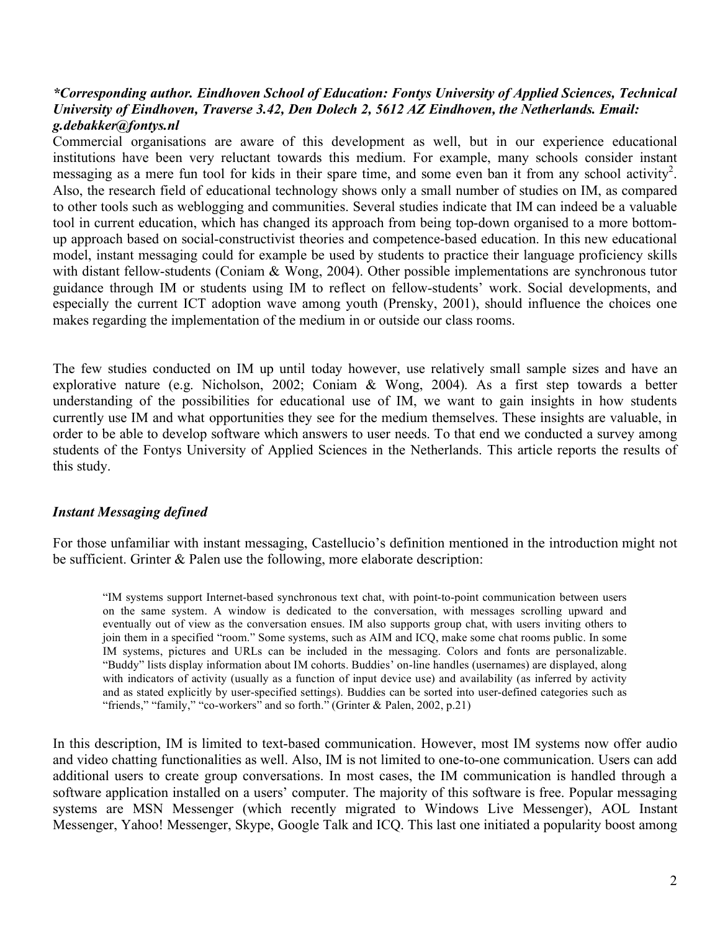#### *\*Corresponding author. Eindhoven School of Education: Fontys University of Applied Sciences, Technical University of Eindhoven, Traverse 3.42, Den Dolech 2, 5612 AZ Eindhoven, the Netherlands. Email: g.debakker@fontys.nl*

Commercial organisations are aware of this development as well, but in our experience educational institutions have been very reluctant towards this medium. For example, many schools consider instant messaging as a mere fun tool for kids in their spare time, and some even ban it from any school activity<sup>2</sup>. Also, the research field of educational technology shows only a small number of studies on IM, as compared to other tools such as weblogging and communities. Several studies indicate that IM can indeed be a valuable tool in current education, which has changed its approach from being top-down organised to a more bottomup approach based on social-constructivist theories and competence-based education. In this new educational model, instant messaging could for example be used by students to practice their language proficiency skills with distant fellow-students (Coniam & Wong, 2004). Other possible implementations are synchronous tutor guidance through IM or students using IM to reflect on fellow-students' work. Social developments, and especially the current ICT adoption wave among youth (Prensky, 2001), should influence the choices one makes regarding the implementation of the medium in or outside our class rooms.

The few studies conducted on IM up until today however, use relatively small sample sizes and have an explorative nature (e.g. Nicholson, 2002; Coniam & Wong, 2004). As a first step towards a better understanding of the possibilities for educational use of IM, we want to gain insights in how students currently use IM and what opportunities they see for the medium themselves. These insights are valuable, in order to be able to develop software which answers to user needs. To that end we conducted a survey among students of the Fontys University of Applied Sciences in the Netherlands. This article reports the results of this study.

### *Instant Messaging defined*

For those unfamiliar with instant messaging, Castellucio's definition mentioned in the introduction might not be sufficient. Grinter & Palen use the following, more elaborate description:

"IM systems support Internet-based synchronous text chat, with point-to-point communication between users on the same system. A window is dedicated to the conversation, with messages scrolling upward and eventually out of view as the conversation ensues. IM also supports group chat, with users inviting others to join them in a specified "room." Some systems, such as AIM and ICQ, make some chat rooms public. In some IM systems, pictures and URLs can be included in the messaging. Colors and fonts are personalizable. "Buddy" lists display information about IM cohorts. Buddies' on-line handles (usernames) are displayed, along with indicators of activity (usually as a function of input device use) and availability (as inferred by activity and as stated explicitly by user-specified settings). Buddies can be sorted into user-defined categories such as "friends," "family," "co-workers" and so forth." (Grinter & Palen, 2002, p.21)

In this description, IM is limited to text-based communication. However, most IM systems now offer audio and video chatting functionalities as well. Also, IM is not limited to one-to-one communication. Users can add additional users to create group conversations. In most cases, the IM communication is handled through a software application installed on a users' computer. The majority of this software is free. Popular messaging systems are MSN Messenger (which recently migrated to Windows Live Messenger), AOL Instant Messenger, Yahoo! Messenger, Skype, Google Talk and ICQ. This last one initiated a popularity boost among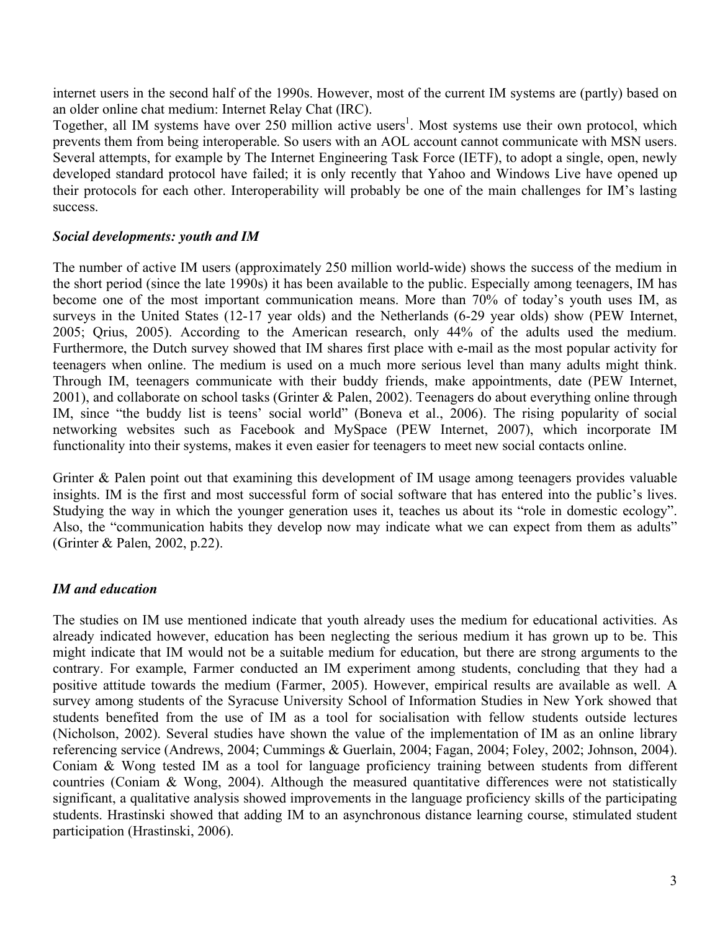internet users in the second half of the 1990s. However, most of the current IM systems are (partly) based on an older online chat medium: Internet Relay Chat (IRC).

Together, all IM systems have over 250 million active users<sup>1</sup>. Most systems use their own protocol, which prevents them from being interoperable. So users with an AOL account cannot communicate with MSN users. Several attempts, for example by The Internet Engineering Task Force (IETF), to adopt a single, open, newly developed standard protocol have failed; it is only recently that Yahoo and Windows Live have opened up their protocols for each other. Interoperability will probably be one of the main challenges for IM's lasting success.

#### *Social developments: youth and IM*

The number of active IM users (approximately 250 million world-wide) shows the success of the medium in the short period (since the late 1990s) it has been available to the public. Especially among teenagers, IM has become one of the most important communication means. More than 70% of today's youth uses IM, as surveys in the United States (12-17 year olds) and the Netherlands (6-29 year olds) show (PEW Internet, 2005; Qrius, 2005). According to the American research, only 44% of the adults used the medium. Furthermore, the Dutch survey showed that IM shares first place with e-mail as the most popular activity for teenagers when online. The medium is used on a much more serious level than many adults might think. Through IM, teenagers communicate with their buddy friends, make appointments, date (PEW Internet, 2001), and collaborate on school tasks (Grinter & Palen, 2002). Teenagers do about everything online through IM, since "the buddy list is teens' social world" (Boneva et al., 2006). The rising popularity of social networking websites such as Facebook and MySpace (PEW Internet, 2007), which incorporate IM functionality into their systems, makes it even easier for teenagers to meet new social contacts online.

Grinter & Palen point out that examining this development of IM usage among teenagers provides valuable insights. IM is the first and most successful form of social software that has entered into the public's lives. Studying the way in which the younger generation uses it, teaches us about its "role in domestic ecology". Also, the "communication habits they develop now may indicate what we can expect from them as adults" (Grinter & Palen, 2002, p.22).

### *IM and education*

The studies on IM use mentioned indicate that youth already uses the medium for educational activities. As already indicated however, education has been neglecting the serious medium it has grown up to be. This might indicate that IM would not be a suitable medium for education, but there are strong arguments to the contrary. For example, Farmer conducted an IM experiment among students, concluding that they had a positive attitude towards the medium (Farmer, 2005). However, empirical results are available as well. A survey among students of the Syracuse University School of Information Studies in New York showed that students benefited from the use of IM as a tool for socialisation with fellow students outside lectures (Nicholson, 2002). Several studies have shown the value of the implementation of IM as an online library referencing service (Andrews, 2004; Cummings & Guerlain, 2004; Fagan, 2004; Foley, 2002; Johnson, 2004). Coniam & Wong tested IM as a tool for language proficiency training between students from different countries (Coniam & Wong, 2004). Although the measured quantitative differences were not statistically significant, a qualitative analysis showed improvements in the language proficiency skills of the participating students. Hrastinski showed that adding IM to an asynchronous distance learning course, stimulated student participation (Hrastinski, 2006).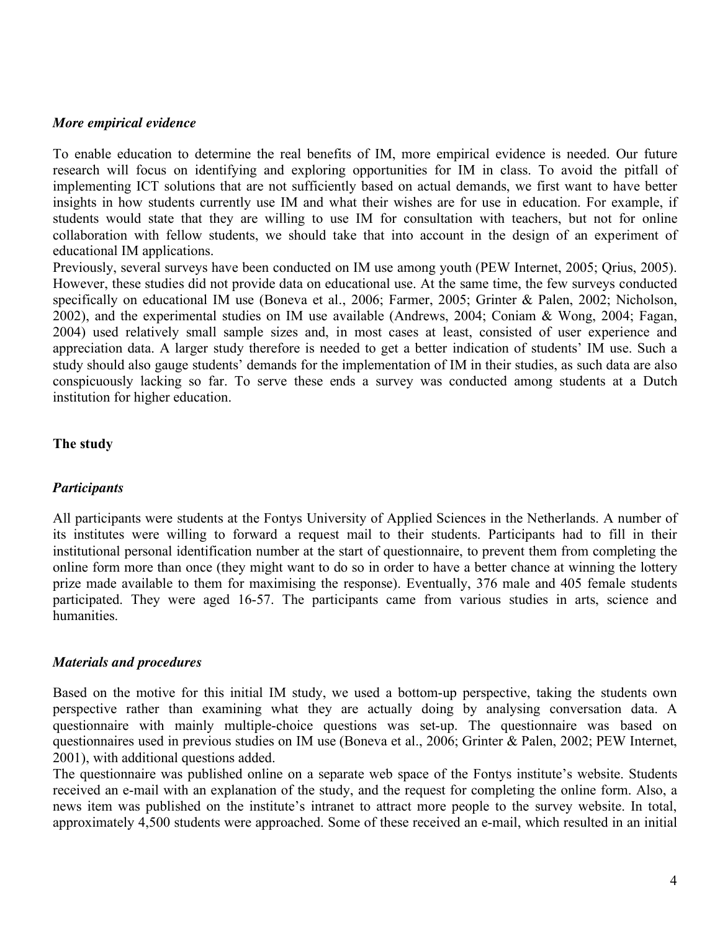#### *More empirical evidence*

To enable education to determine the real benefits of IM, more empirical evidence is needed. Our future research will focus on identifying and exploring opportunities for IM in class. To avoid the pitfall of implementing ICT solutions that are not sufficiently based on actual demands, we first want to have better insights in how students currently use IM and what their wishes are for use in education. For example, if students would state that they are willing to use IM for consultation with teachers, but not for online collaboration with fellow students, we should take that into account in the design of an experiment of educational IM applications.

Previously, several surveys have been conducted on IM use among youth (PEW Internet, 2005; Qrius, 2005). However, these studies did not provide data on educational use. At the same time, the few surveys conducted specifically on educational IM use (Boneva et al., 2006; Farmer, 2005; Grinter & Palen, 2002; Nicholson, 2002), and the experimental studies on IM use available (Andrews, 2004; Coniam & Wong, 2004; Fagan, 2004) used relatively small sample sizes and, in most cases at least, consisted of user experience and appreciation data. A larger study therefore is needed to get a better indication of students' IM use. Such a study should also gauge students' demands for the implementation of IM in their studies, as such data are also conspicuously lacking so far. To serve these ends a survey was conducted among students at a Dutch institution for higher education.

### **The study**

### *Participants*

All participants were students at the Fontys University of Applied Sciences in the Netherlands. A number of its institutes were willing to forward a request mail to their students. Participants had to fill in their institutional personal identification number at the start of questionnaire, to prevent them from completing the online form more than once (they might want to do so in order to have a better chance at winning the lottery prize made available to them for maximising the response). Eventually, 376 male and 405 female students participated. They were aged 16-57. The participants came from various studies in arts, science and humanities.

### *Materials and procedures*

Based on the motive for this initial IM study, we used a bottom-up perspective, taking the students own perspective rather than examining what they are actually doing by analysing conversation data. A questionnaire with mainly multiple-choice questions was set-up. The questionnaire was based on questionnaires used in previous studies on IM use (Boneva et al., 2006; Grinter & Palen, 2002; PEW Internet, 2001), with additional questions added.

The questionnaire was published online on a separate web space of the Fontys institute's website. Students received an e-mail with an explanation of the study, and the request for completing the online form. Also, a news item was published on the institute's intranet to attract more people to the survey website. In total, approximately 4,500 students were approached. Some of these received an e-mail, which resulted in an initial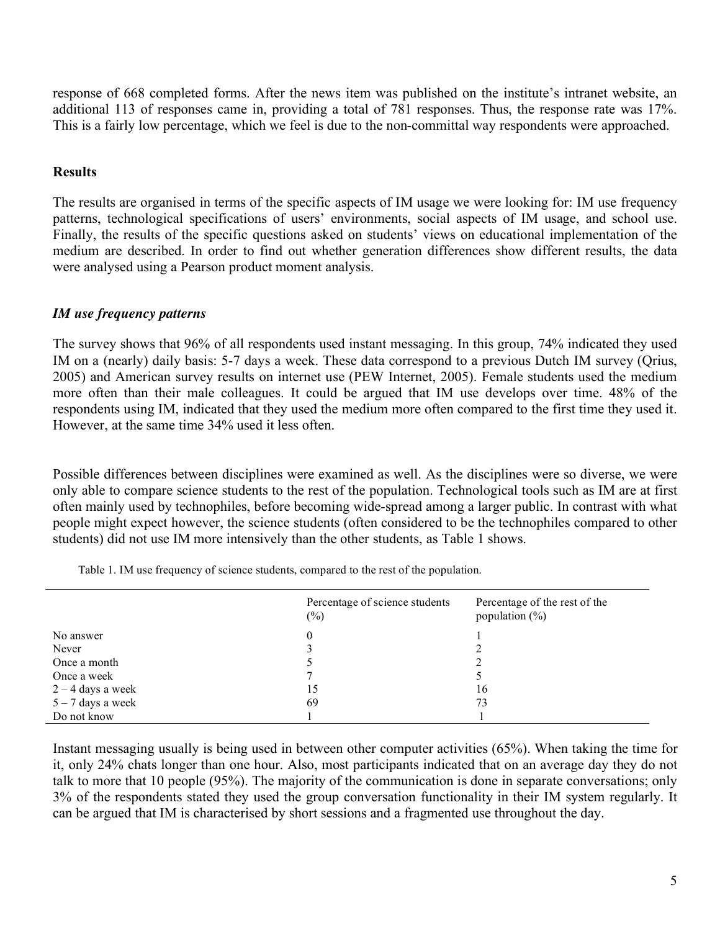response of 668 completed forms. After the news item was published on the institute's intranet website, an additional 113 of responses came in, providing a total of 781 responses. Thus, the response rate was 17%. This is a fairly low percentage, which we feel is due to the non-committal way respondents were approached.

### **Results**

The results are organised in terms of the specific aspects of IM usage we were looking for: IM use frequency patterns, technological specifications of users' environments, social aspects of IM usage, and school use. Finally, the results of the specific questions asked on students' views on educational implementation of the medium are described. In order to find out whether generation differences show different results, the data were analysed using a Pearson product moment analysis.

### *IM use frequency patterns*

The survey shows that 96% of all respondents used instant messaging. In this group, 74% indicated they used IM on a (nearly) daily basis: 5-7 days a week. These data correspond to a previous Dutch IM survey (Qrius, 2005) and American survey results on internet use (PEW Internet, 2005). Female students used the medium more often than their male colleagues. It could be argued that IM use develops over time. 48% of the respondents using IM, indicated that they used the medium more often compared to the first time they used it. However, at the same time 34% used it less often.

Possible differences between disciplines were examined as well. As the disciplines were so diverse, we were only able to compare science students to the rest of the population. Technological tools such as IM are at first often mainly used by technophiles, before becoming wide-spread among a larger public. In contrast with what people might expect however, the science students (often considered to be the technophiles compared to other students) did not use IM more intensively than the other students, as Table 1 shows.

|                     | Percentage of science students<br>$(\%)$ | Percentage of the rest of the<br>population $(\%)$ |
|---------------------|------------------------------------------|----------------------------------------------------|
| No answer           | $\theta$                                 |                                                    |
| Never               |                                          |                                                    |
| Once a month        |                                          |                                                    |
| Once a week         |                                          |                                                    |
| $2 - 4$ days a week | 15                                       | 16                                                 |
| $5 - 7$ days a week | 69                                       | 73                                                 |
| Do not know         |                                          |                                                    |

Table 1. IM use frequency of science students, compared to the rest of the population.

Instant messaging usually is being used in between other computer activities (65%). When taking the time for it, only 24% chats longer than one hour. Also, most participants indicated that on an average day they do not talk to more that 10 people (95%). The majority of the communication is done in separate conversations; only 3% of the respondents stated they used the group conversation functionality in their IM system regularly. It can be argued that IM is characterised by short sessions and a fragmented use throughout the day.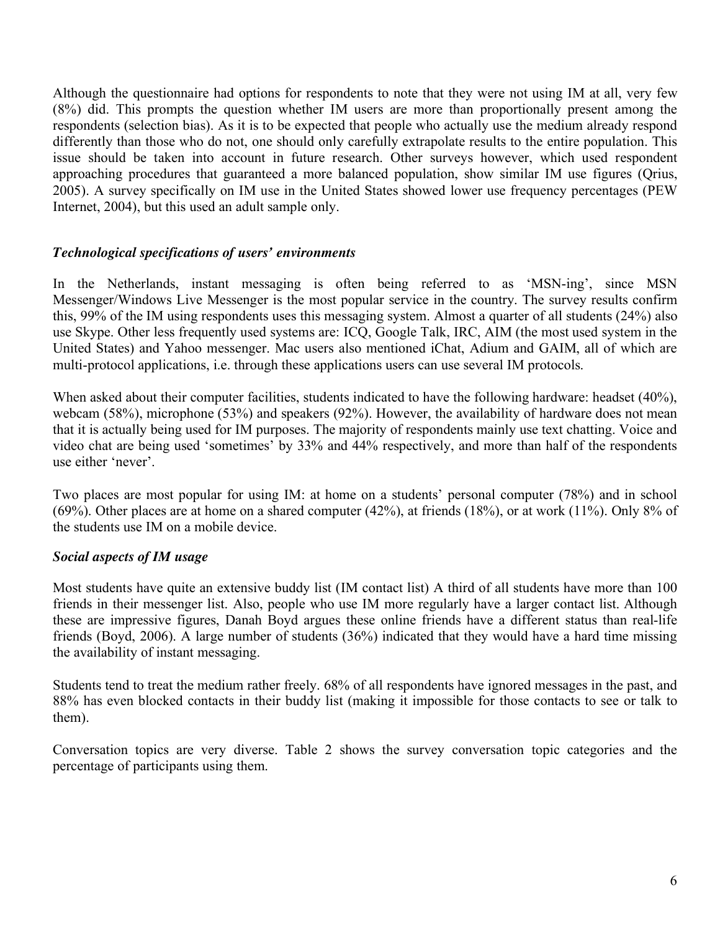Although the questionnaire had options for respondents to note that they were not using IM at all, very few (8%) did. This prompts the question whether IM users are more than proportionally present among the respondents (selection bias). As it is to be expected that people who actually use the medium already respond differently than those who do not, one should only carefully extrapolate results to the entire population. This issue should be taken into account in future research. Other surveys however, which used respondent approaching procedures that guaranteed a more balanced population, show similar IM use figures (Qrius, 2005). A survey specifically on IM use in the United States showed lower use frequency percentages (PEW Internet, 2004), but this used an adult sample only.

### *Technological specifications of users' environments*

In the Netherlands, instant messaging is often being referred to as 'MSN-ing', since MSN Messenger/Windows Live Messenger is the most popular service in the country. The survey results confirm this, 99% of the IM using respondents uses this messaging system. Almost a quarter of all students (24%) also use Skype. Other less frequently used systems are: ICQ, Google Talk, IRC, AIM (the most used system in the United States) and Yahoo messenger. Mac users also mentioned iChat, Adium and GAIM, all of which are multi-protocol applications, i.e. through these applications users can use several IM protocols.

When asked about their computer facilities, students indicated to have the following hardware: headset (40%), webcam (58%), microphone (53%) and speakers (92%). However, the availability of hardware does not mean that it is actually being used for IM purposes. The majority of respondents mainly use text chatting. Voice and video chat are being used 'sometimes' by 33% and 44% respectively, and more than half of the respondents use either 'never'.

Two places are most popular for using IM: at home on a students' personal computer (78%) and in school (69%). Other places are at home on a shared computer (42%), at friends (18%), or at work (11%). Only 8% of the students use IM on a mobile device.

#### *Social aspects of IM usage*

Most students have quite an extensive buddy list (IM contact list) A third of all students have more than 100 friends in their messenger list. Also, people who use IM more regularly have a larger contact list. Although these are impressive figures, Danah Boyd argues these online friends have a different status than real-life friends (Boyd, 2006). A large number of students (36%) indicated that they would have a hard time missing the availability of instant messaging.

Students tend to treat the medium rather freely. 68% of all respondents have ignored messages in the past, and 88% has even blocked contacts in their buddy list (making it impossible for those contacts to see or talk to them).

Conversation topics are very diverse. Table 2 shows the survey conversation topic categories and the percentage of participants using them.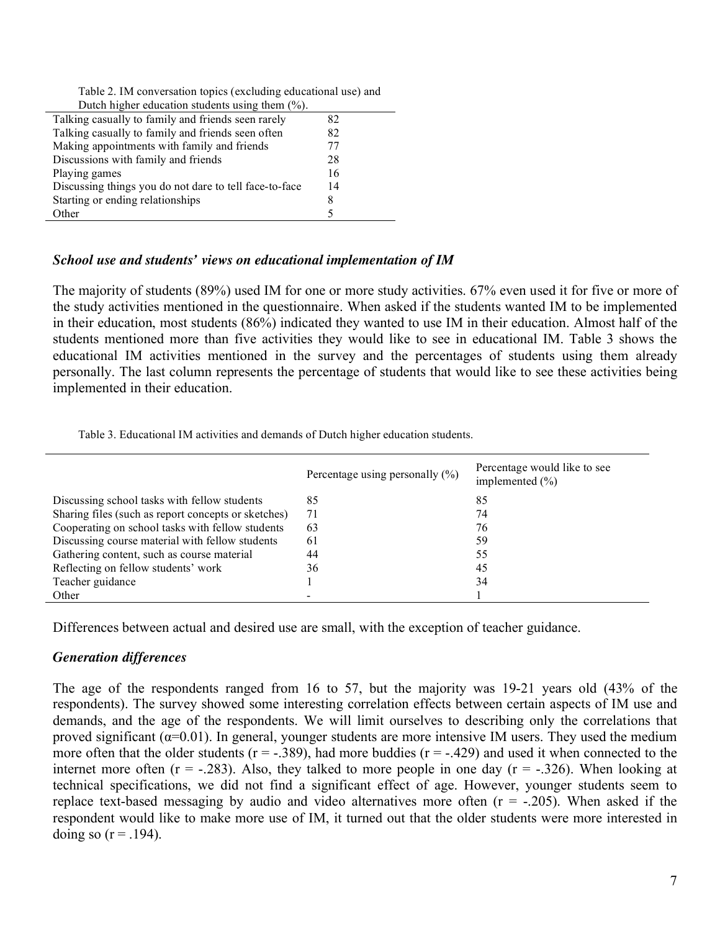|  |  |  |  | Table 2. IM conversation topics (excluding educational use) and |  |
|--|--|--|--|-----------------------------------------------------------------|--|
|  |  |  |  |                                                                 |  |

| Dutch higher education students using them $(\%).$     |    |
|--------------------------------------------------------|----|
| Talking casually to family and friends seen rarely     | 82 |
| Talking casually to family and friends seen often      | 82 |
| Making appointments with family and friends            | 77 |
| Discussions with family and friends                    | 28 |
| Playing games                                          | 16 |
| Discussing things you do not dare to tell face-to-face | 14 |
| Starting or ending relationships                       | 8  |
| Other                                                  |    |
|                                                        |    |

#### *School use and students' views on educational implementation of IM*

The majority of students (89%) used IM for one or more study activities. 67% even used it for five or more of the study activities mentioned in the questionnaire. When asked if the students wanted IM to be implemented in their education, most students (86%) indicated they wanted to use IM in their education. Almost half of the students mentioned more than five activities they would like to see in educational IM. Table 3 shows the educational IM activities mentioned in the survey and the percentages of students using them already personally. The last column represents the percentage of students that would like to see these activities being implemented in their education.

Table 3. Educational IM activities and demands of Dutch higher education students.

|                                                     | Percentage using personally $(\% )$ | Percentage would like to see<br>implemented $(\% )$ |
|-----------------------------------------------------|-------------------------------------|-----------------------------------------------------|
| Discussing school tasks with fellow students        | 85                                  | 85                                                  |
| Sharing files (such as report concepts or sketches) | 71                                  | 74                                                  |
| Cooperating on school tasks with fellow students    | 63                                  | 76                                                  |
| Discussing course material with fellow students     | 61                                  | 59                                                  |
| Gathering content, such as course material          | 44                                  | 55                                                  |
| Reflecting on fellow students' work                 | 36                                  | 45                                                  |
| Teacher guidance                                    |                                     | 34                                                  |
| Other                                               |                                     |                                                     |

Differences between actual and desired use are small, with the exception of teacher guidance.

### *Generation differences*

The age of the respondents ranged from 16 to 57, but the majority was 19-21 years old (43% of the respondents). The survey showed some interesting correlation effects between certain aspects of IM use and demands, and the age of the respondents. We will limit ourselves to describing only the correlations that proved significant ( $\alpha$ =0.01). In general, younger students are more intensive IM users. They used the medium more often that the older students ( $r = -0.389$ ), had more buddies ( $r = -0.429$ ) and used it when connected to the internet more often  $(r = -.283)$ . Also, they talked to more people in one day  $(r = -.326)$ . When looking at technical specifications, we did not find a significant effect of age. However, younger students seem to replace text-based messaging by audio and video alternatives more often  $(r = -0.205)$ . When asked if the respondent would like to make more use of IM, it turned out that the older students were more interested in doing so  $(r = .194)$ .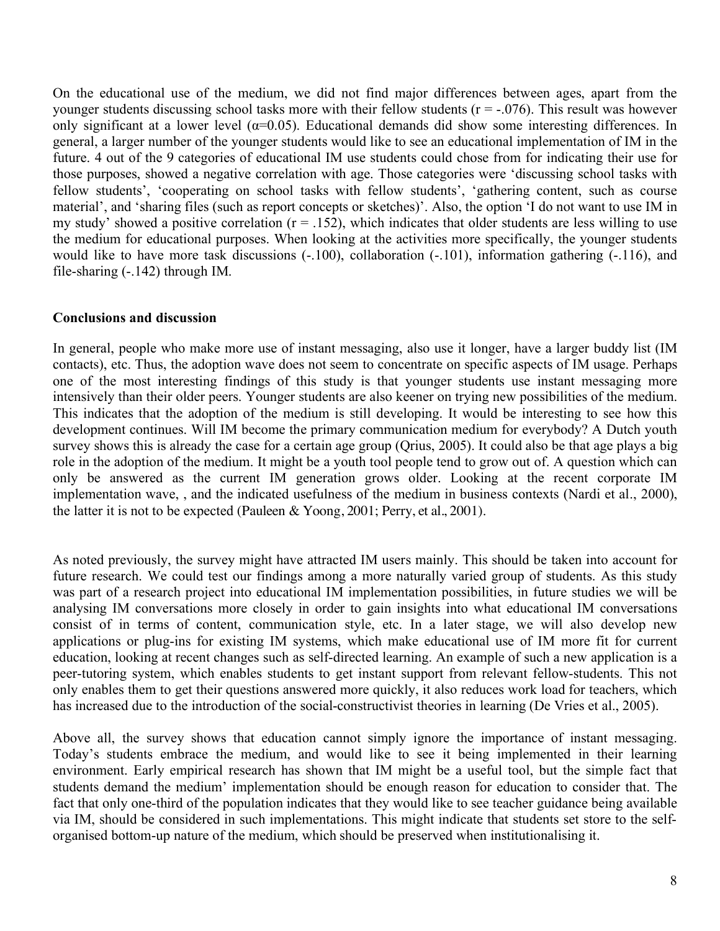On the educational use of the medium, we did not find major differences between ages, apart from the younger students discussing school tasks more with their fellow students  $(r = -0.076)$ . This result was however only significant at a lower level ( $\alpha$ =0.05). Educational demands did show some interesting differences. In general, a larger number of the younger students would like to see an educational implementation of IM in the future. 4 out of the 9 categories of educational IM use students could chose from for indicating their use for those purposes, showed a negative correlation with age. Those categories were 'discussing school tasks with fellow students', 'cooperating on school tasks with fellow students', 'gathering content, such as course material', and 'sharing files (such as report concepts or sketches)'. Also, the option 'I do not want to use IM in my study' showed a positive correlation  $(r = .152)$ , which indicates that older students are less willing to use the medium for educational purposes. When looking at the activities more specifically, the younger students would like to have more task discussions  $(-.100)$ , collaboration  $(-.101)$ , information gathering  $(-.116)$ , and file-sharing (-.142) through IM.

#### **Conclusions and discussion**

In general, people who make more use of instant messaging, also use it longer, have a larger buddy list (IM contacts), etc. Thus, the adoption wave does not seem to concentrate on specific aspects of IM usage. Perhaps one of the most interesting findings of this study is that younger students use instant messaging more intensively than their older peers. Younger students are also keener on trying new possibilities of the medium. This indicates that the adoption of the medium is still developing. It would be interesting to see how this development continues. Will IM become the primary communication medium for everybody? A Dutch youth survey shows this is already the case for a certain age group (Qrius, 2005). It could also be that age plays a big role in the adoption of the medium. It might be a youth tool people tend to grow out of. A question which can only be answered as the current IM generation grows older. Looking at the recent corporate IM implementation wave, , and the indicated usefulness of the medium in business contexts (Nardi et al., 2000), the latter it is not to be expected (Pauleen  $\&$  Yoong, 2001; Perry, et al., 2001).

As noted previously, the survey might have attracted IM users mainly. This should be taken into account for future research. We could test our findings among a more naturally varied group of students. As this study was part of a research project into educational IM implementation possibilities, in future studies we will be analysing IM conversations more closely in order to gain insights into what educational IM conversations consist of in terms of content, communication style, etc. In a later stage, we will also develop new applications or plug-ins for existing IM systems, which make educational use of IM more fit for current education, looking at recent changes such as self-directed learning. An example of such a new application is a peer-tutoring system, which enables students to get instant support from relevant fellow-students. This not only enables them to get their questions answered more quickly, it also reduces work load for teachers, which has increased due to the introduction of the social-constructivist theories in learning (De Vries et al., 2005).

Above all, the survey shows that education cannot simply ignore the importance of instant messaging. Today's students embrace the medium, and would like to see it being implemented in their learning environment. Early empirical research has shown that IM might be a useful tool, but the simple fact that students demand the medium' implementation should be enough reason for education to consider that. The fact that only one-third of the population indicates that they would like to see teacher guidance being available via IM, should be considered in such implementations. This might indicate that students set store to the selforganised bottom-up nature of the medium, which should be preserved when institutionalising it.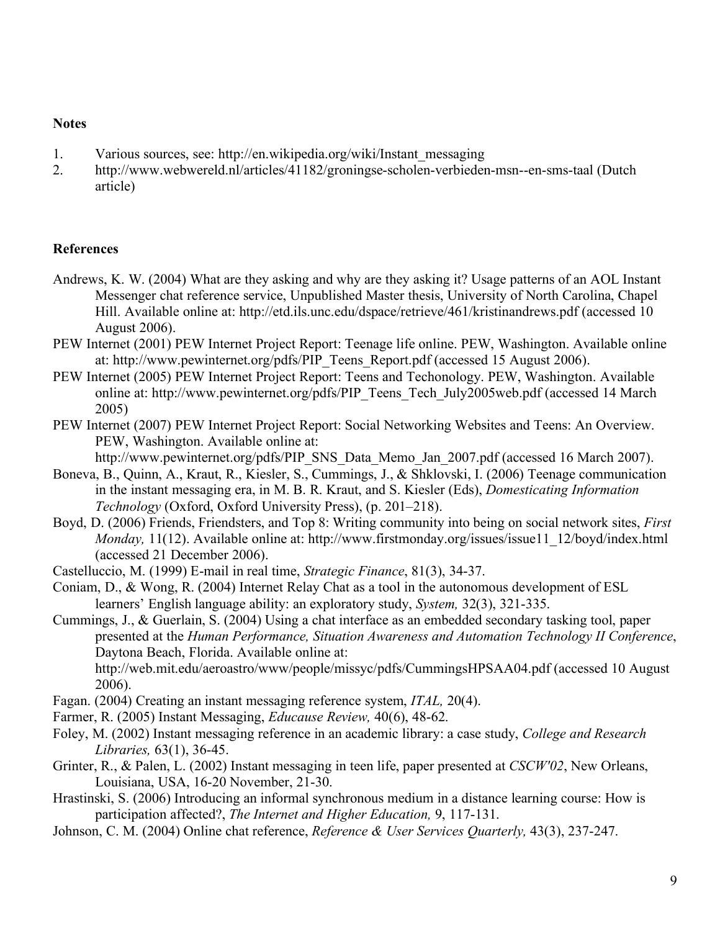#### **Notes**

- 1. Various sources, see: http://en.wikipedia.org/wiki/Instant\_messaging
- 2. http://www.webwereld.nl/articles/41182/groningse-scholen-verbieden-msn--en-sms-taal (Dutch article)

### **References**

- Andrews, K. W. (2004) What are they asking and why are they asking it? Usage patterns of an AOL Instant Messenger chat reference service, Unpublished Master thesis, University of North Carolina, Chapel Hill. Available online at: http://etd.ils.unc.edu/dspace/retrieve/461/kristinandrews.pdf (accessed 10 August 2006).
- PEW Internet (2001) PEW Internet Project Report: Teenage life online. PEW, Washington. Available online at: http://www.pewinternet.org/pdfs/PIP\_Teens\_Report.pdf (accessed 15 August 2006).
- PEW Internet (2005) PEW Internet Project Report: Teens and Techonology. PEW, Washington. Available online at: http://www.pewinternet.org/pdfs/PIP\_Teens\_Tech\_July2005web.pdf (accessed 14 March 2005)
- PEW Internet (2007) PEW Internet Project Report: Social Networking Websites and Teens: An Overview. PEW, Washington. Available online at:

http://www.pewinternet.org/pdfs/PIP\_SNS\_Data\_Memo\_Jan\_2007.pdf (accessed 16 March 2007).

- Boneva, B., Quinn, A., Kraut, R., Kiesler, S., Cummings, J., & Shklovski, I. (2006) Teenage communication in the instant messaging era, in M. B. R. Kraut, and S. Kiesler (Eds), *Domesticating Information Technology* (Oxford, Oxford University Press), (p. 201–218).
- Boyd, D. (2006) Friends, Friendsters, and Top 8: Writing community into being on social network sites, *First Monday,* 11(12). Available online at: http://www.firstmonday.org/issues/issue11\_12/boyd/index.html (accessed 21 December 2006).
- Castelluccio, M. (1999) E-mail in real time, *Strategic Finance*, 81(3), 34-37.
- Coniam, D., & Wong, R. (2004) Internet Relay Chat as a tool in the autonomous development of ESL learners' English language ability: an exploratory study, *System,* 32(3), 321-335.
- Cummings, J., & Guerlain, S. (2004) Using a chat interface as an embedded secondary tasking tool, paper presented at the *Human Performance, Situation Awareness and Automation Technology II Conference*, Daytona Beach, Florida. Available online at: http://web.mit.edu/aeroastro/www/people/missyc/pdfs/CummingsHPSAA04.pdf (accessed 10 August 2006).
- Fagan. (2004) Creating an instant messaging reference system, *ITAL,* 20(4).
- Farmer, R. (2005) Instant Messaging, *Educause Review,* 40(6), 48-62.
- Foley, M. (2002) Instant messaging reference in an academic library: a case study, *College and Research Libraries,* 63(1), 36-45.
- Grinter, R., & Palen, L. (2002) Instant messaging in teen life, paper presented at *CSCW'02*, New Orleans, Louisiana, USA, 16-20 November, 21-30.
- Hrastinski, S. (2006) Introducing an informal synchronous medium in a distance learning course: How is participation affected?, *The Internet and Higher Education,* 9, 117-131.
- Johnson, C. M. (2004) Online chat reference, *Reference & User Services Quarterly,* 43(3), 237-247.